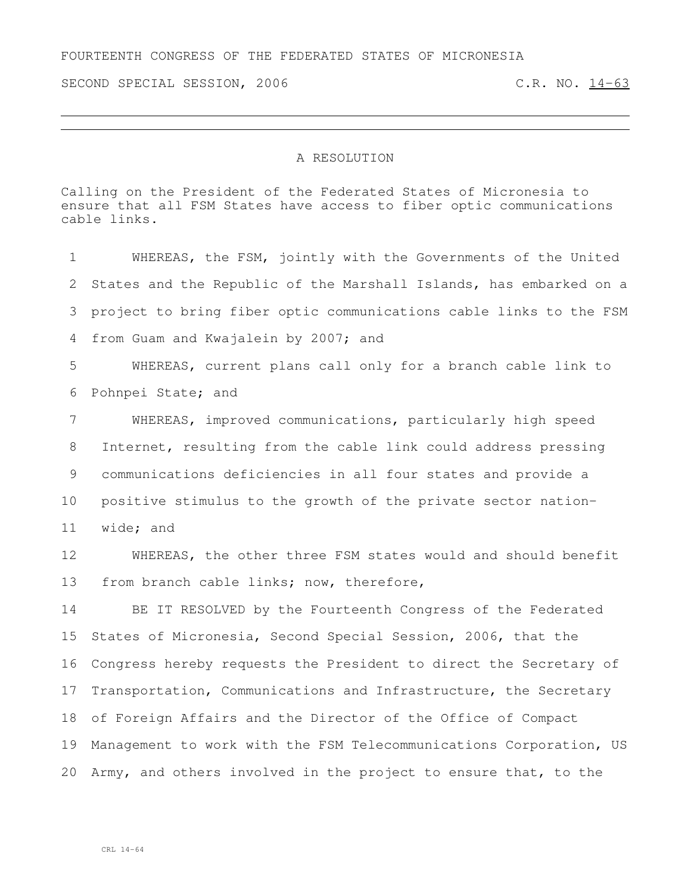SECOND SPECIAL SESSION, 2006 C.R. NO. 14-63

## A RESOLUTION

Calling on the President of the Federated States of Micronesia to ensure that all FSM States have access to fiber optic communications cable links.

 WHEREAS, the FSM, jointly with the Governments of the United States and the Republic of the Marshall Islands, has embarked on a project to bring fiber optic communications cable links to the FSM from Guam and Kwajalein by 2007; and WHEREAS, current plans call only for a branch cable link to Pohnpei State; and WHEREAS, improved communications, particularly high speed Internet, resulting from the cable link could address pressing communications deficiencies in all four states and provide a positive stimulus to the growth of the private sector nation- wide; and WHEREAS, the other three FSM states would and should benefit from branch cable links; now, therefore, BE IT RESOLVED by the Fourteenth Congress of the Federated States of Micronesia, Second Special Session, 2006, that the Congress hereby requests the President to direct the Secretary of Transportation, Communications and Infrastructure, the Secretary of Foreign Affairs and the Director of the Office of Compact Management to work with the FSM Telecommunications Corporation, US

Army, and others involved in the project to ensure that, to the